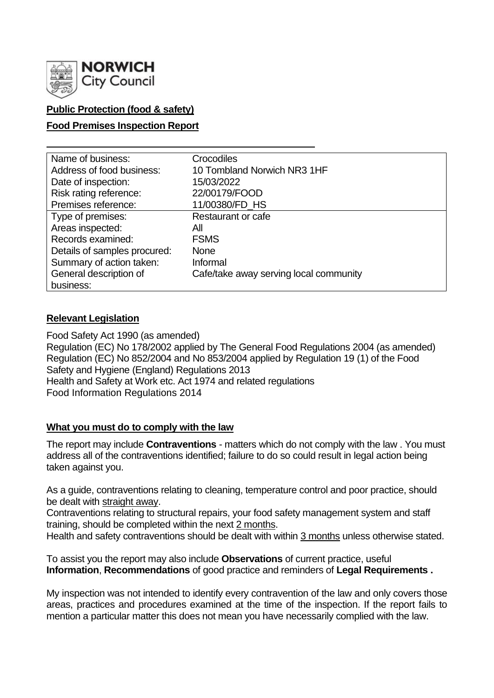

# **Public Protection (food & safety)**

## **Food Premises Inspection Report**

| Name of business:            | Crocodiles                             |
|------------------------------|----------------------------------------|
| Address of food business:    | 10 Tombland Norwich NR3 1HF            |
| Date of inspection:          | 15/03/2022                             |
| Risk rating reference:       | 22/00179/FOOD                          |
| Premises reference:          | 11/00380/FD HS                         |
| Type of premises:            | Restaurant or cafe                     |
| Areas inspected:             | All                                    |
| Records examined:            | <b>FSMS</b>                            |
| Details of samples procured: | <b>None</b>                            |
| Summary of action taken:     | Informal                               |
| General description of       | Cafe/take away serving local community |
| business:                    |                                        |

### **Relevant Legislation**

Food Safety Act 1990 (as amended) Regulation (EC) No 178/2002 applied by The General Food Regulations 2004 (as amended) Regulation (EC) No 852/2004 and No 853/2004 applied by Regulation 19 (1) of the Food Safety and Hygiene (England) Regulations 2013 Health and Safety at Work etc. Act 1974 and related regulations Food Information Regulations 2014

## **What you must do to comply with the law**

The report may include **Contraventions** - matters which do not comply with the law . You must address all of the contraventions identified; failure to do so could result in legal action being taken against you.

As a guide, contraventions relating to cleaning, temperature control and poor practice, should be dealt with straight away.

Contraventions relating to structural repairs, your food safety management system and staff training, should be completed within the next 2 months.

Health and safety contraventions should be dealt with within 3 months unless otherwise stated.

To assist you the report may also include **Observations** of current practice, useful **Information**, **Recommendations** of good practice and reminders of **Legal Requirements .**

My inspection was not intended to identify every contravention of the law and only covers those areas, practices and procedures examined at the time of the inspection. If the report fails to mention a particular matter this does not mean you have necessarily complied with the law.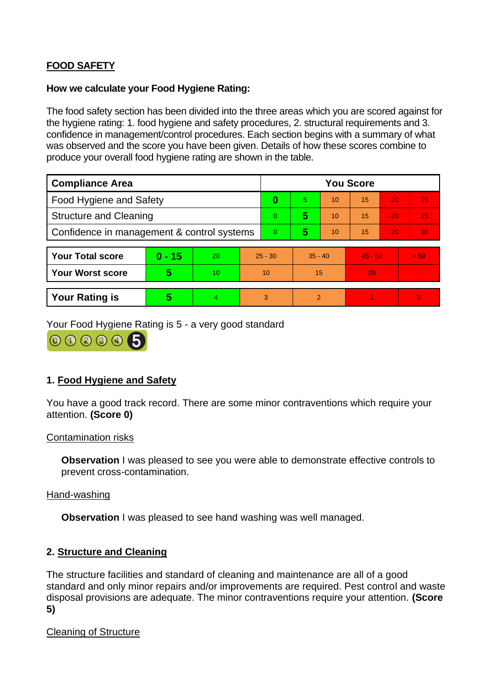# **FOOD SAFETY**

#### **How we calculate your Food Hygiene Rating:**

The food safety section has been divided into the three areas which you are scored against for the hygiene rating: 1. food hygiene and safety procedures, 2. structural requirements and 3. confidence in management/control procedures. Each section begins with a summary of what was observed and the score you have been given. Details of how these scores combine to produce your overall food hygiene rating are shown in the table.

| <b>Compliance Area</b>                     |          |    |           | <b>You Score</b> |           |    |           |    |          |  |
|--------------------------------------------|----------|----|-----------|------------------|-----------|----|-----------|----|----------|--|
| <b>Food Hygiene and Safety</b>             |          |    |           | 0                | 5.        | 10 | 15        | 20 | 25       |  |
| <b>Structure and Cleaning</b>              |          |    | 0         | 5                | 10        | 15 | 20        | 25 |          |  |
| Confidence in management & control systems |          |    |           | 0                | 5         | 10 | 15        | 20 | 30       |  |
|                                            |          |    |           |                  |           |    |           |    |          |  |
| <b>Your Total score</b>                    | $0 - 15$ | 20 | $25 - 30$ |                  | $35 - 40$ |    | $45 - 50$ |    | > 50     |  |
| <b>Your Worst score</b>                    | 5        | 10 | 10        |                  | 15        |    | 20        |    |          |  |
|                                            |          |    |           |                  |           |    |           |    |          |  |
| <b>Your Rating is</b>                      | 5        | 4  |           | 3                | 2         |    |           |    | $\Omega$ |  |

Your Food Hygiene Rating is 5 - a very good standard

000005

## **1. Food Hygiene and Safety**

You have a good track record. There are some minor contraventions which require your attention. **(Score 0)**

#### Contamination risks

**Observation** I was pleased to see you were able to demonstrate effective controls to prevent cross-contamination.

### Hand-washing

**Observation** I was pleased to see hand washing was well managed.

### **2. Structure and Cleaning**

The structure facilities and standard of cleaning and maintenance are all of a good standard and only minor repairs and/or improvements are required. Pest control and waste disposal provisions are adequate. The minor contraventions require your attention. **(Score 5)**

### Cleaning of Structure